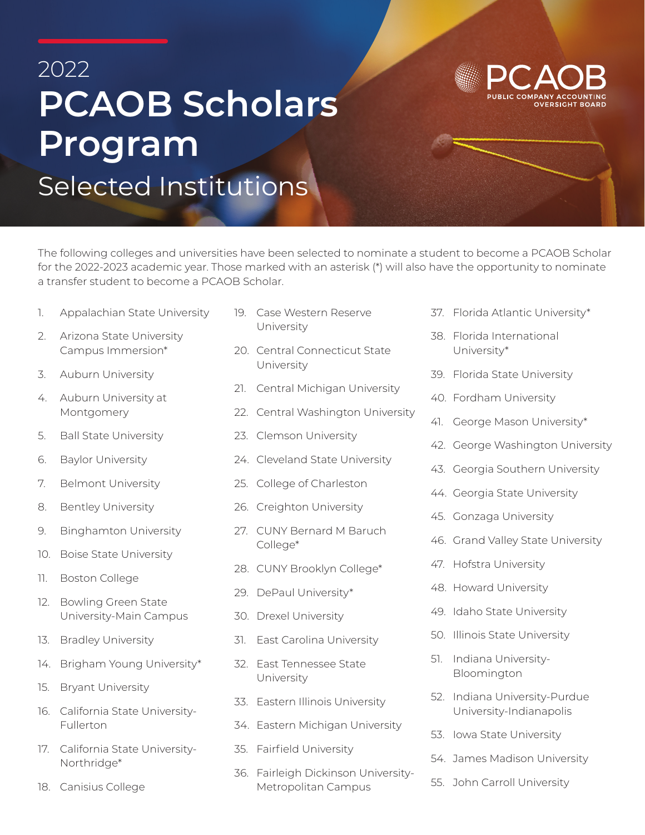## 2022 **PCAOB Scholars Program** Selected Institutions

The following colleges and universities have been selected to nominate a student to become a PCAOB Scholar for the 2022-2023 academic year. Those marked with an asterisk (\*) will also have the opportunity to nominate a transfer student to become a PCAOB Scholar.

- 1. Appalachian State University
- 2. Arizona State University Campus Immersion\*
- 3. Auburn University
- 4. Auburn University at Montgomery
- 5. Ball State University
- 6. Baylor University
- 7. Belmont University
- 8. Bentley University
- 9. Binghamton University
- 10. Boise State University
- 11. Boston College
- 12. Bowling Green State University-Main Campus
- 13. Bradley University
- 14. Brigham Young University\*
- 15. Bryant University
- 16. California State University-Fullerton
- 17. California State University-Northridge\*
- 18. Canisius College
- 19. Case Western Reserve University
- 20. Central Connecticut State University
- 21. Central Michigan University
- 22. Central Washington University
- 23. Clemson University
- 24. Cleveland State University
- 25. College of Charleston
- 26. Creighton University
- 27. CUNY Bernard M Baruch College\*
- 28. CUNY Brooklyn College\*
- 29. DePaul University\*
- 30. Drexel University
- 31. East Carolina University
- 32. East Tennessee State University
- 33. Eastern Illinois University
- 34. Eastern Michigan University
- 35. Fairfield University
- 36. Fairleigh Dickinson University-Metropolitan Campus
- 37. Florida Atlantic University\*
- 38. Florida International University\*
- 39. Florida State University
- 40. Fordham University
- 41. George Mason University\*
- 42. George Washington University
- 43. Georgia Southern University
- 44. Georgia State University
- 45. Gonzaga University
- 46. Grand Valley State University
- 47. Hofstra University
- 48. Howard University
- 49. Idaho State University
- 50. Illinois State University
- 51. Indiana University-Bloomington
- 52. Indiana University-Purdue University-Indianapolis
- 53. Iowa State University
- 54. James Madison University
- 55. John Carroll University

**OVERSIGHT BOARD**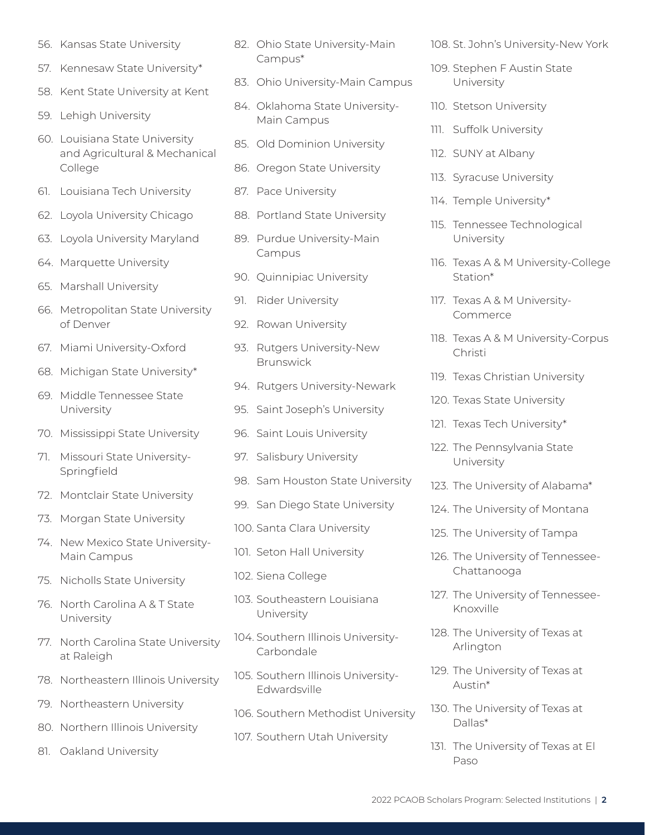- 56. Kansas State University
- 57. Kennesaw State University\*
- 58. Kent State University at Kent
- 59. Lehigh University
- 60. Louisiana State University and Agricultural & Mechanical College
- 61. Louisiana Tech University
- 62. Loyola University Chicago
- 63. Loyola University Maryland
- 64. Marquette University
- 65. Marshall University
- 66. Metropolitan State University of Denver
- 67. Miami University-Oxford
- 68. Michigan State University\*
- 69. Middle Tennessee State University
- 70. Mississippi State University
- 71. Missouri State University-Springfield
- 72. Montclair State University
- 73. Morgan State University
- 74. New Mexico State University-Main Campus
- 75. Nicholls State University
- 76. North Carolina A & T State University
- 77. North Carolina State University at Raleigh
- 78. Northeastern Illinois University
- 79. Northeastern University
- 80. Northern Illinois University
- 81. Oakland University
- 82. Ohio State University-Main Campus\*
- 83. Ohio University-Main Campus
- 84. Oklahoma State University-Main Campus
- 85. Old Dominion University
- 86. Oregon State University
- 87. Pace University
- 88. Portland State University
- 89. Purdue University-Main Campus
- 90. Quinnipiac University
- 91. Rider University
- 92. Rowan University
- 93. Rutgers University-New Brunswick
- 94. Rutgers University-Newark
- 95. Saint Joseph's University
- 96. Saint Louis University
- 97. Salisbury University
- 98. Sam Houston State University
- 99. San Diego State University
- 100. Santa Clara University
- 101. Seton Hall University
- 102. Siena College
- 103. Southeastern Louisiana University
- 104. Southern Illinois University-Carbondale
- 105. Southern Illinois University-Edwardsville
- 106. Southern Methodist University
- 107. Southern Utah University

108. St. John's University-New York

- 109. Stephen F Austin State University
- 110. Stetson University
- 111. Suffolk University
- 112. SUNY at Albany
- 113. Syracuse University
- 114. Temple University\*
- 115. Tennessee Technological University
- 116. Texas A & M University-College Station\*
- 117. Texas A & M University-Commerce
- 118. Texas A & M University-Corpus Christi
- 119. Texas Christian University
- 120. Texas State University
- 121. Texas Tech University\*
- 122. The Pennsylvania State University
- 123. The University of Alabama\*
- 124. The University of Montana
- 125. The University of Tampa
- 126. The University of Tennessee-Chattanooga
- 127. The University of Tennessee-Knoxville
- 128. The University of Texas at Arlington
- 129. The University of Texas at Austin\*
- 130. The University of Texas at Dallas\*
- 131. The University of Texas at El Paso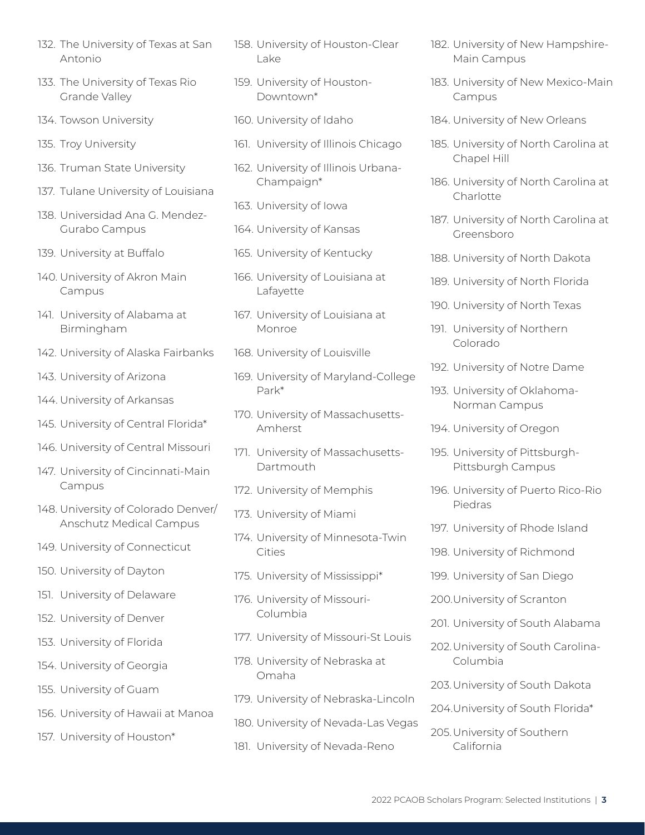- 132. The University of Texas at San Antonio
- 133. The University of Texas Rio Grande Valley
- 134. Towson University
- 135. Troy University
- 136. Truman State University
- 137. Tulane University of Louisiana
- 138. Universidad Ana G. Mendez-Gurabo Campus
- 139. University at Buffalo
- 140. University of Akron Main Campus
- 141. University of Alabama at Birmingham
- 142. University of Alaska Fairbanks
- 143. University of Arizona
- 144. University of Arkansas
- 145. University of Central Florida\*
- 146. University of Central Missouri
- 147. University of Cincinnati-Main Campus
- 148. University of Colorado Denver/ Anschutz Medical Campus
- 149. University of Connecticut
- 150. University of Dayton
- 151. University of Delaware
- 152. University of Denver
- 153. University of Florida
- 154. University of Georgia
- 155. University of Guam
- 156. University of Hawaii at Manoa
- 157. University of Houston\*
- 158. University of Houston-Clear Lake
- 159. University of Houston-Downtown\*
- 160. University of Idaho
- 161. University of Illinois Chicago
- 162. University of Illinois Urbana-Champaign\*
- 163. University of Iowa
- 164. University of Kansas
- 165. University of Kentucky
- 166. University of Louisiana at Lafayette
- 167. University of Louisiana at Monroe
- 168. University of Louisville
- 169. University of Maryland-College Park\*
- 170. University of Massachusetts-Amherst
- 171. University of Massachusetts-Dartmouth
- 172. University of Memphis
- 173. University of Miami
- 174. University of Minnesota-Twin Cities
- 175. University of Mississippi\*
- 176. University of Missouri-Columbia
- 177. University of Missouri-St Louis
- 178. University of Nebraska at Omaha
- 179. University of Nebraska-Lincoln
- 180. University of Nevada-Las Vegas
- 181. University of Nevada-Reno
- 182. University of New Hampshire-Main Campus
- 183. University of New Mexico-Main Campus
- 184. University of New Orleans
- 185. University of North Carolina at Chapel Hill
- 186. University of North Carolina at Charlotte
- 187. University of North Carolina at Greensboro
- 188. University of North Dakota
- 189. University of North Florida
- 190. University of North Texas
- 191. University of Northern Colorado
- 192. University of Notre Dame
- 193. University of Oklahoma-Norman Campus
- 194. University of Oregon
- 195. University of Pittsburgh-Pittsburgh Campus
- 196. University of Puerto Rico-Rio Piedras
- 197. University of Rhode Island
- 198. University of Richmond
- 199. University of San Diego
- 200.University of Scranton
- 201. University of South Alabama
- 202.University of South Carolina-Columbia
- 203.University of South Dakota
- 204.University of South Florida\*
- 205.University of Southern California